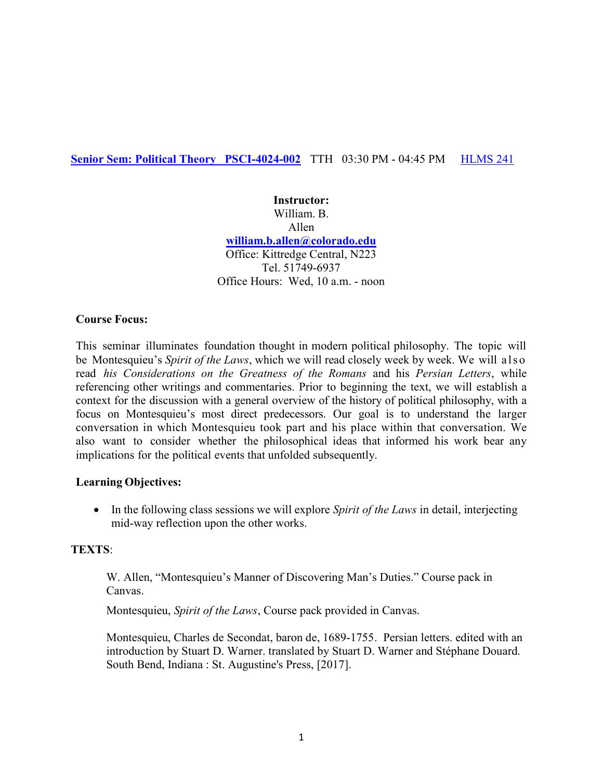## Senior Sem: Political Theory PSCI-4024-002 TTH 03:30 PM - 04:45 PM HLMS 241

Instructor: William. B. Allen william.b.allen@colorado.edu Office: Kittredge Central, N223 Tel. 51749-6937 Office Hours: Wed, 10 a.m. - noon

## Course Focus:

This seminar illuminates foundation thought in modern political philosophy. The topic will be Montesquieu's Spirit of the Laws, which we will read closely week by week. We will also read his Considerations on the Greatness of the Romans and his Persian Letters, while referencing other writings and commentaries. Prior to beginning the text, we will establish a context for the discussion with a general overview of the history of political philosophy, with a focus on Montesquieu's most direct predecessors. Our goal is to understand the larger conversation in which Montesquieu took part and his place within that conversation. We also want to consider whether the philosophical ideas that informed his work bear any implications for the political events that unfolded subsequently.

### Learning Objectives:

 $\bullet$  In the following class sessions we will explore *Spirit of the Laws* in detail, interjecting mid-way reflection upon the other works.

### TEXTS:

W. Allen, "Montesquieu's Manner of Discovering Man's Duties." Course pack in Canvas.

Montesquieu, *Spirit of the Laws*, Course pack provided in Canvas.

 Montesquieu, Charles de Secondat, baron de, 1689-1755. Persian letters. edited with an introduction by Stuart D. Warner. translated by Stuart D. Warner and Stéphane Douard. South Bend, Indiana : St. Augustine's Press, [2017].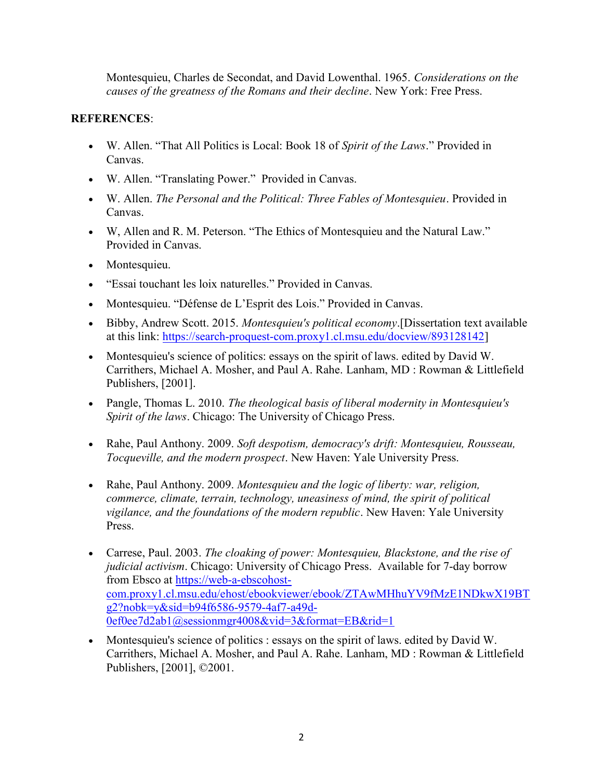Montesquieu, Charles de Secondat, and David Lowenthal. 1965. Considerations on the causes of the greatness of the Romans and their decline. New York: Free Press.

# REFERENCES:

- W. Allen. "That All Politics is Local: Book 18 of Spirit of the Laws." Provided in Canvas.
- W. Allen. "Translating Power." Provided in Canvas.
- W. Allen. The Personal and the Political: Three Fables of Montesquieu. Provided in Canvas.
- W, Allen and R. M. Peterson. "The Ethics of Montesquieu and the Natural Law." Provided in Canvas.
- Montesquieu.
- "Essai touchant les loix naturelles." Provided in Canvas.
- Montesquieu. "Défense de L'Esprit des Lois." Provided in Canvas.
- Bibby, Andrew Scott. 2015. Montesquieu's political economy. [Dissertation text available at this link: https://search-proquest-com.proxy1.cl.msu.edu/docview/893128142]
- Montesquieu's science of politics: essays on the spirit of laws. edited by David W. Carrithers, Michael A. Mosher, and Paul A. Rahe. Lanham, MD : Rowman & Littlefield Publishers, [2001].
- Pangle, Thomas L. 2010. The theological basis of liberal modernity in Montesquieu's Spirit of the laws. Chicago: The University of Chicago Press.
- Rahe, Paul Anthony. 2009. Soft despotism, democracy's drift: Montesquieu, Rousseau, Tocqueville, and the modern prospect. New Haven: Yale University Press.
- Rahe, Paul Anthony. 2009. Montesquieu and the logic of liberty: war, religion, commerce, climate, terrain, technology, uneasiness of mind, the spirit of political vigilance, and the foundations of the modern republic. New Haven: Yale University Press.
- Carrese, Paul. 2003. The cloaking of power: Montesquieu, Blackstone, and the rise of judicial activism. Chicago: University of Chicago Press. Available for 7-day borrow from Ebsco at https://web-a-ebscohostcom.proxy1.cl.msu.edu/ehost/ebookviewer/ebook/ZTAwMHhuYV9fMzE1NDkwX19BT g2?nobk=y&sid=b94f6586-9579-4af7-a49d-0ef0ee7d2ab1@sessionmgr4008&vid=3&format=EB&rid=1
- Montesquieu's science of politics : essays on the spirit of laws. edited by David W. Carrithers, Michael A. Mosher, and Paul A. Rahe. Lanham, MD : Rowman & Littlefield Publishers, [2001], ©2001.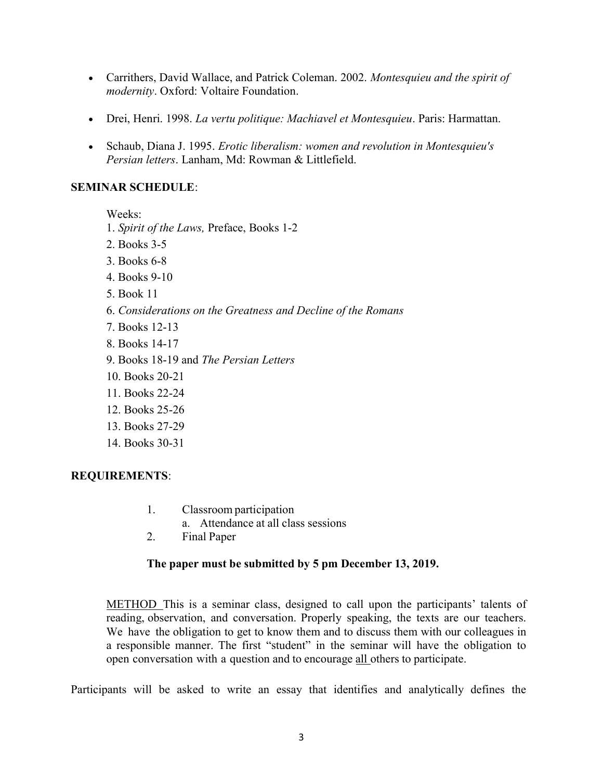- Carrithers, David Wallace, and Patrick Coleman. 2002. Montesquieu and the spirit of modernity. Oxford: Voltaire Foundation.
- Drei, Henri. 1998. La vertu politique: Machiavel et Montesquieu. Paris: Harmattan.
- Schaub, Diana J. 1995. Erotic liberalism: women and revolution in Montesquieu's Persian letters. Lanham, Md: Rowman & Littlefield.

## SEMINAR SCHEDULE:

Weeks:

1. Spirit of the Laws, Preface, Books 1-2

- 2. Books 3-5
- 3. Books 6-8
- 4. Books 9-10
- 5. Book 11
- 6. Considerations on the Greatness and Decline of the Romans
- 7. Books 12-13
- 8. Books 14-17
- 9. Books 18-19 and The Persian Letters
- 10. Books 20-21
- 11. Books 22-24
- 12. Books 25-26
- 13. Books 27-29
- 14. Books 30-31

# REQUIREMENTS:

- 1. Classroom participation
	- a. Attendance at all class sessions
- 2. Final Paper

# The paper must be submitted by 5 pm December 13, 2019.

METHOD This is a seminar class, designed to call upon the participants' talents of reading, observation, and conversation. Properly speaking, the texts are our teachers. We have the obligation to get to know them and to discuss them with our colleagues in a responsible manner. The first "student" in the seminar will have the obligation to open conversation with a question and to encourage all others to participate.

Participants will be asked to write an essay that identifies and analytically defines the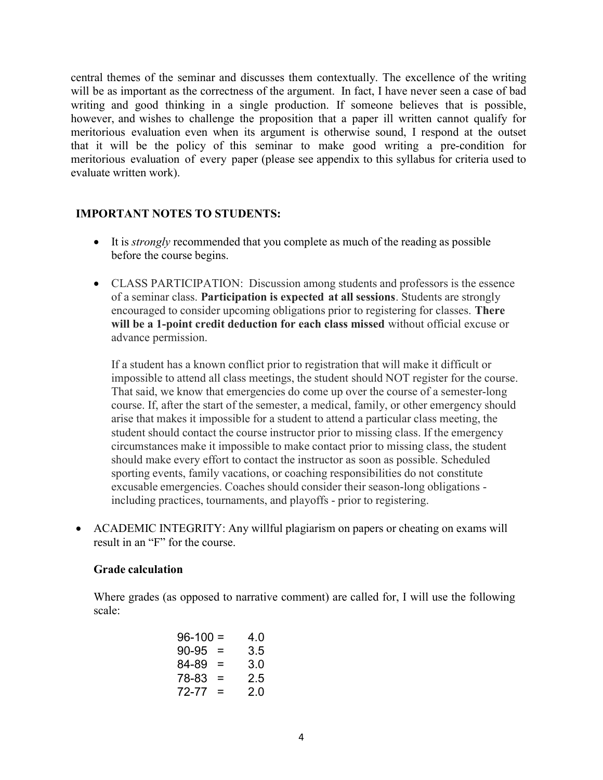central themes of the seminar and discusses them contextually. The excellence of the writing will be as important as the correctness of the argument. In fact, I have never seen a case of bad writing and good thinking in a single production. If someone believes that is possible, however, and wishes to challenge the proposition that a paper ill written cannot qualify for meritorious evaluation even when its argument is otherwise sound, I respond at the outset that it will be the policy of this seminar to make good writing a pre-condition for meritorious evaluation of every paper (please see appendix to this syllabus for criteria used to evaluate written work).

## IMPORTANT NOTES TO STUDENTS:

- It is *strongly* recommended that you complete as much of the reading as possible before the course begins.
- CLASS PARTICIPATION: Discussion among students and professors is the essence of a seminar class. Participation is expected at all sessions. Students are strongly encouraged to consider upcoming obligations prior to registering for classes. There will be a 1-point credit deduction for each class missed without official excuse or advance permission.

If a student has a known conflict prior to registration that will make it difficult or impossible to attend all class meetings, the student should NOT register for the course. That said, we know that emergencies do come up over the course of a semester-long course. If, after the start of the semester, a medical, family, or other emergency should arise that makes it impossible for a student to attend a particular class meeting, the student should contact the course instructor prior to missing class. If the emergency circumstances make it impossible to make contact prior to missing class, the student should make every effort to contact the instructor as soon as possible. Scheduled sporting events, family vacations, or coaching responsibilities do not constitute excusable emergencies. Coaches should consider their season-long obligations including practices, tournaments, and playoffs - prior to registering.

 ACADEMIC INTEGRITY: Any willful plagiarism on papers or cheating on exams will result in an "F" for the course.

### Grade calculation

Where grades (as opposed to narrative comment) are called for, I will use the following scale:

| $96 - 100 =$ | 40  |
|--------------|-----|
| $=$          | 3.5 |
| =            | 3.0 |
| =            | 2.5 |
| =            | 20  |
|              |     |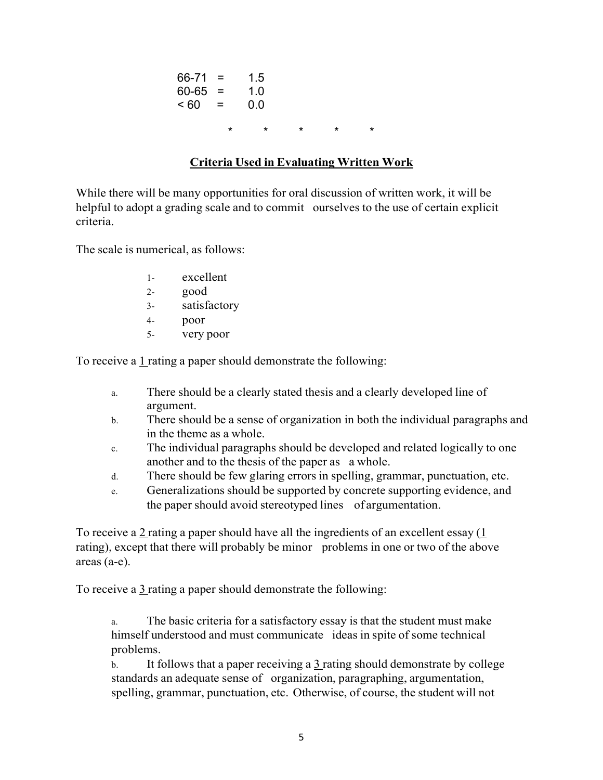| $66 - 71 =$ |          | 1.5 |         |         |         |
|-------------|----------|-----|---------|---------|---------|
| $60 - 65 =$ |          | 1.0 |         |         |         |
| ~< 60       | $\equiv$ | 0.0 |         |         |         |
|             | $\star$  | *   | $\star$ | $\star$ | $\star$ |

# Criteria Used in Evaluating Written Work

While there will be many opportunities for oral discussion of written work, it will be helpful to adopt a grading scale and to commit ourselves to the use of certain explicit criteria.

The scale is numerical, as follows:

- 1- excellent
- 2- good
- 3- satisfactory
- 4- poor
- 5- very poor

To receive a  $1$  rating a paper should demonstrate the following:

- a. There should be a clearly stated thesis and a clearly developed line of argument.
- b. There should be a sense of organization in both the individual paragraphs and in the theme as a whole.
- c. The individual paragraphs should be developed and related logically to one another and to the thesis of the paper as a whole.
- d. There should be few glaring errors in spelling, grammar, punctuation, etc.
- e. Generalizations should be supported by concrete supporting evidence, and the paper should avoid stereotyped lines of argumentation.

To receive a 2 rating a paper should have all the ingredients of an excellent essay (1 rating), except that there will probably be minor problems in one or two of the above areas (a-e).

To receive a 3 rating a paper should demonstrate the following:

The basic criteria for a satisfactory essay is that the student must make himself understood and must communicate ideas in spite of some technical problems.

b. It follows that a paper receiving a  $\frac{3}{2}$  rating should demonstrate by college standards an adequate sense of organization, paragraphing, argumentation, spelling, grammar, punctuation, etc. Otherwise, of course, the student will not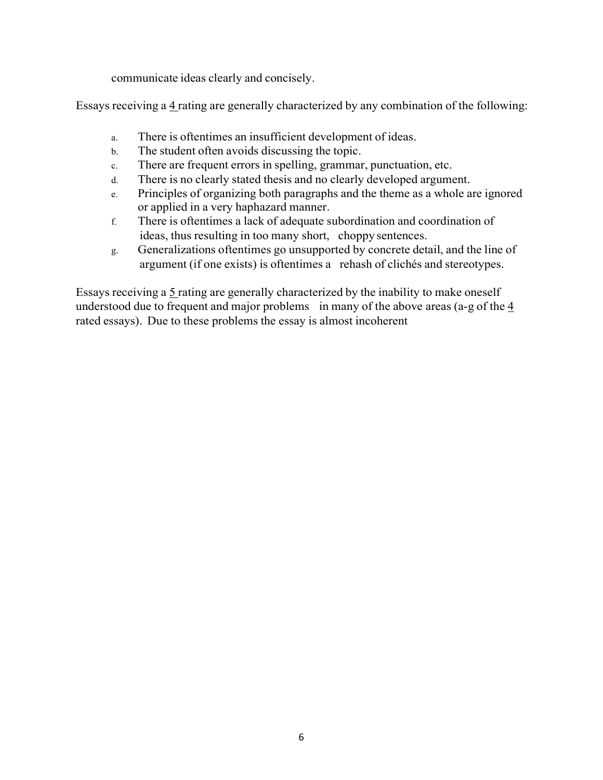communicate ideas clearly and concisely.

Essays receiving a 4 rating are generally characterized by any combination of the following:

- a. There is oftentimes an insufficient development of ideas.
- b. The student often avoids discussing the topic.
- c. There are frequent errors in spelling, grammar, punctuation, etc.
- d. There is no clearly stated thesis and no clearly developed argument.
- e. Principles of organizing both paragraphs and the theme as a whole are ignored or applied in a very haphazard manner.
- f. There is oftentimes a lack of adequate subordination and coordination of ideas, thus resulting in too many short, choppy sentences.
- g. Generalizations oftentimes go unsupported by concrete detail, and the line of argument (if one exists) is oftentimes a rehash of clichés and stereotypes.

Essays receiving a 5 rating are generally characterized by the inability to make oneself understood due to frequent and major problems in many of the above areas (a-g of the 4 rated essays). Due to these problems the essay is almost incoherent